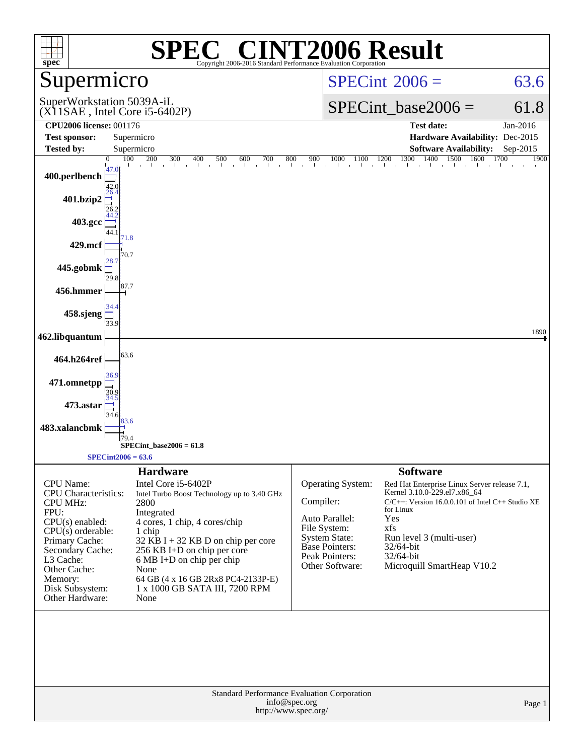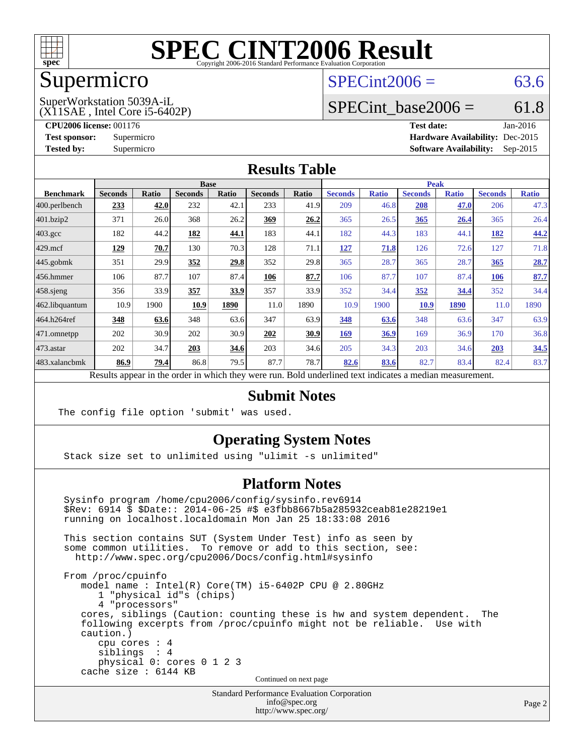

## Supermicro

#### $SPECint2006 = 63.6$  $SPECint2006 = 63.6$

(X11SAE , Intel Core i5-6402P) SuperWorkstation 5039A-iL

SPECint base2006 =  $61.8$ 

**[CPU2006 license:](http://www.spec.org/auto/cpu2006/Docs/result-fields.html#CPU2006license)** 001176 **[Test date:](http://www.spec.org/auto/cpu2006/Docs/result-fields.html#Testdate)** Jan-2016

**[Test sponsor:](http://www.spec.org/auto/cpu2006/Docs/result-fields.html#Testsponsor)** Supermicro **[Hardware Availability:](http://www.spec.org/auto/cpu2006/Docs/result-fields.html#HardwareAvailability)** Dec-2015 **[Tested by:](http://www.spec.org/auto/cpu2006/Docs/result-fields.html#Testedby)** Supermicro **Supermicro [Software Availability:](http://www.spec.org/auto/cpu2006/Docs/result-fields.html#SoftwareAvailability)** Sep-2015

#### **[Results Table](http://www.spec.org/auto/cpu2006/Docs/result-fields.html#ResultsTable)**

|                                                                                                          | <b>Base</b>    |              |                |              |                |       | <b>Peak</b>    |              |                |              |                |              |
|----------------------------------------------------------------------------------------------------------|----------------|--------------|----------------|--------------|----------------|-------|----------------|--------------|----------------|--------------|----------------|--------------|
| <b>Benchmark</b>                                                                                         | <b>Seconds</b> | <b>Ratio</b> | <b>Seconds</b> | <b>Ratio</b> | <b>Seconds</b> | Ratio | <b>Seconds</b> | <b>Ratio</b> | <b>Seconds</b> | <b>Ratio</b> | <b>Seconds</b> | <b>Ratio</b> |
| $ 400$ .perlbench                                                                                        | 233            | 42.0         | 232            | 42.1         | 233            | 41.9  | 209            | 46.8         | 208            | 47.0         | 206            | 47.3         |
| 401.bzip2                                                                                                | 371            | 26.0         | 368            | 26.2         | 369            | 26.2  | 365            | 26.5         | 365            | <u>26.4</u>  | 365            | 26.4         |
| $403.\text{gcc}$                                                                                         | 182            | 44.2         | 182            | 44.1         | 183            | 44.1  | 182            | 44.3         | 183            | 44.1         | 182            | 44.2         |
| $429$ .mcf                                                                                               | 129            | 70.7         | 130            | 70.3         | 128            | 71.1  | 127            | 71.8         | 126            | 72.6         | 127            | 71.8         |
| $445$ .gobmk                                                                                             | 351            | 29.9         | 352            | 29.8         | 352            | 29.8  | 365            | 28.7         | 365            | 28.7         | 365            | 28.7         |
| $456.$ hmmer                                                                                             | 106            | 87.7         | 107            | 87.4         | 106            | 87.7  | 106            | 87.7         | 107            | 87.4         | 106            | 87.7         |
| $458$ .sjeng                                                                                             | 356            | 33.9         | 357            | 33.9         | 357            | 33.9  | 352            | 34.4         | 352            | 34.4         | 352            | 34.4         |
| 462.libquantum                                                                                           | 10.9           | 1900         | 10.9           | 1890         | 11.0           | 1890  | 10.9           | 1900         | 10.9           | <b>1890</b>  | 11.0           | 1890         |
| 464.h264ref                                                                                              | 348            | 63.6         | 348            | 63.6         | 347            | 63.9  | 348            | 63.6         | 348            | 63.6         | 347            | 63.9         |
| $ 471$ .omnetpp                                                                                          | 202            | 30.9         | 202            | 30.9         | 202            | 30.9  | <b>169</b>     | 36.9         | 169            | 36.9         | 170            | 36.8         |
| $473$ . astar                                                                                            | 202            | 34.7         | 203            | 34.6         | 203            | 34.6  | 205            | 34.3         | 203            | 34.6         | 203            | 34.5         |
| 483.xalancbmk                                                                                            | 86.9           | 79.4         | 86.8           | 79.5         | 87.7           | 78.7  | 82.6           | 83.6         | 82.7           | 83.4         | 82.4           | 83.7         |
| Results appear in the order in which they were run. Bold underlined text indicates a median measurement. |                |              |                |              |                |       |                |              |                |              |                |              |

#### **[Submit Notes](http://www.spec.org/auto/cpu2006/Docs/result-fields.html#SubmitNotes)**

The config file option 'submit' was used.

#### **[Operating System Notes](http://www.spec.org/auto/cpu2006/Docs/result-fields.html#OperatingSystemNotes)**

Stack size set to unlimited using "ulimit -s unlimited"

#### **[Platform Notes](http://www.spec.org/auto/cpu2006/Docs/result-fields.html#PlatformNotes)**

 Sysinfo program /home/cpu2006/config/sysinfo.rev6914 \$Rev: 6914 \$ \$Date:: 2014-06-25 #\$ e3fbb8667b5a285932ceab81e28219e1 running on localhost.localdomain Mon Jan 25 18:33:08 2016 This section contains SUT (System Under Test) info as seen by some common utilities. To remove or add to this section, see: <http://www.spec.org/cpu2006/Docs/config.html#sysinfo> From /proc/cpuinfo model name : Intel(R) Core(TM) i5-6402P CPU @ 2.80GHz 1 "physical id"s (chips) 4 "processors" cores, siblings (Caution: counting these is hw and system dependent. The following excerpts from /proc/cpuinfo might not be reliable. Use with caution.) cpu cores : 4

 siblings : 4 physical 0: cores 0 1 2 3 cache size : 6144 KB

Continued on next page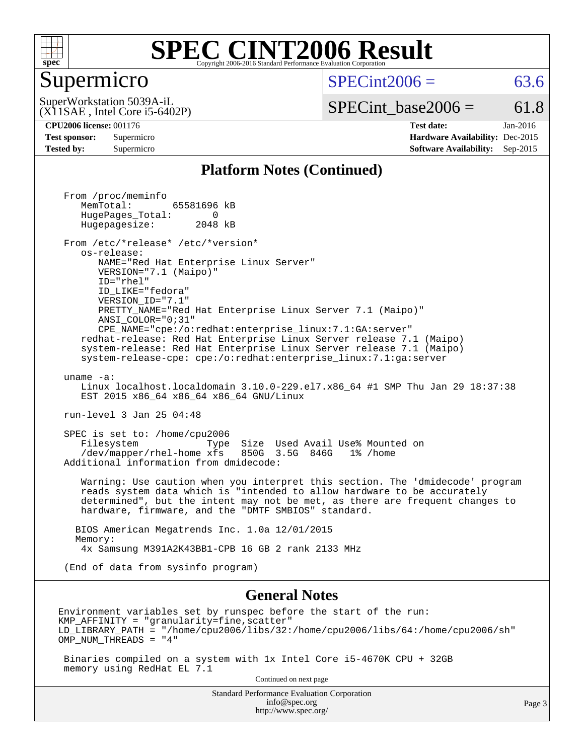

#### Supermicro

 $SPECint2006 = 63.6$  $SPECint2006 = 63.6$ 

(X11SAE , Intel Core i5-6402P) SuperWorkstation 5039A-iL

 $SPECTnt\_base2006 = 61.8$ 

**[CPU2006 license:](http://www.spec.org/auto/cpu2006/Docs/result-fields.html#CPU2006license)** 001176 **[Test date:](http://www.spec.org/auto/cpu2006/Docs/result-fields.html#Testdate)** Jan-2016 **[Test sponsor:](http://www.spec.org/auto/cpu2006/Docs/result-fields.html#Testsponsor)** Supermicro **[Hardware Availability:](http://www.spec.org/auto/cpu2006/Docs/result-fields.html#HardwareAvailability)** Dec-2015 **[Tested by:](http://www.spec.org/auto/cpu2006/Docs/result-fields.html#Testedby)** Supermicro **[Software Availability:](http://www.spec.org/auto/cpu2006/Docs/result-fields.html#SoftwareAvailability)** Sep-2015

#### **[Platform Notes \(Continued\)](http://www.spec.org/auto/cpu2006/Docs/result-fields.html#PlatformNotes)**

 From /proc/meminfo MemTotal: 65581696 kB HugePages\_Total: 0<br>Hugepagesize: 2048 kB Hugepagesize: From /etc/\*release\* /etc/\*version\* os-release: NAME="Red Hat Enterprise Linux Server" VERSION="7.1 (Maipo)" ID="rhel" ID\_LIKE="fedora" VERSION\_ID="7.1" PRETTY\_NAME="Red Hat Enterprise Linux Server 7.1 (Maipo)" ANSI\_COLOR="0;31" CPE\_NAME="cpe:/o:redhat:enterprise\_linux:7.1:GA:server" redhat-release: Red Hat Enterprise Linux Server release 7.1 (Maipo) system-release: Red Hat Enterprise Linux Server release 7.1 (Maipo) system-release-cpe: cpe:/o:redhat:enterprise\_linux:7.1:ga:server uname -a: Linux localhost.localdomain 3.10.0-229.el7.x86\_64 #1 SMP Thu Jan 29 18:37:38 EST 2015 x86\_64 x86\_64 x86\_64 GNU/Linux run-level 3 Jan 25 04:48 SPEC is set to: /home/cpu2006 Filesystem Type Size Used Avail Use% Mounted on /dev/mapper/rhel-home xfs 850G 3.5G 846G 1% /home Additional information from dmidecode: Warning: Use caution when you interpret this section. The 'dmidecode' program reads system data which is "intended to allow hardware to be accurately determined", but the intent may not be met, as there are frequent changes to hardware, firmware, and the "DMTF SMBIOS" standard. BIOS American Megatrends Inc. 1.0a 12/01/2015 Memory: 4x Samsung M391A2K43BB1-CPB 16 GB 2 rank 2133 MHz (End of data from sysinfo program) **[General Notes](http://www.spec.org/auto/cpu2006/Docs/result-fields.html#GeneralNotes)** Environment variables set by runspec before the start of the run:  $KMP$  AFFINITY = "granularity=fine, scatter" LD\_LIBRARY\_PATH = "/home/cpu2006/libs/32:/home/cpu2006/libs/64:/home/cpu2006/sh" OMP\_NUM\_THREADS = "4" Binaries compiled on a system with 1x Intel Core i5-4670K CPU + 32GB memory using RedHat EL 7.1 Continued on next page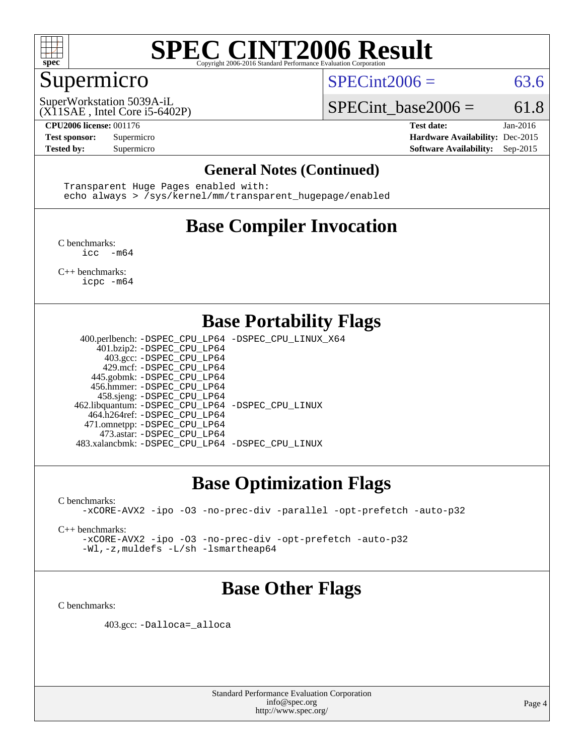

### Supermicro

 $SPECint2006 = 63.6$  $SPECint2006 = 63.6$ 

(X11SAE , Intel Core i5-6402P) SuperWorkstation 5039A-iL

SPECint base2006 =  $61.8$ 

**[CPU2006 license:](http://www.spec.org/auto/cpu2006/Docs/result-fields.html#CPU2006license)** 001176 **[Test date:](http://www.spec.org/auto/cpu2006/Docs/result-fields.html#Testdate)** Jan-2016 **[Test sponsor:](http://www.spec.org/auto/cpu2006/Docs/result-fields.html#Testsponsor)** Supermicro **[Hardware Availability:](http://www.spec.org/auto/cpu2006/Docs/result-fields.html#HardwareAvailability)** Dec-2015 **[Tested by:](http://www.spec.org/auto/cpu2006/Docs/result-fields.html#Testedby)** Supermicro **Supermicro [Software Availability:](http://www.spec.org/auto/cpu2006/Docs/result-fields.html#SoftwareAvailability)** Sep-2015

#### **[General Notes \(Continued\)](http://www.spec.org/auto/cpu2006/Docs/result-fields.html#GeneralNotes)**

 Transparent Huge Pages enabled with: echo always > /sys/kernel/mm/transparent\_hugepage/enabled

## **[Base Compiler Invocation](http://www.spec.org/auto/cpu2006/Docs/result-fields.html#BaseCompilerInvocation)**

[C benchmarks](http://www.spec.org/auto/cpu2006/Docs/result-fields.html#Cbenchmarks):  $inc - m64$ 

[C++ benchmarks:](http://www.spec.org/auto/cpu2006/Docs/result-fields.html#CXXbenchmarks) [icpc -m64](http://www.spec.org/cpu2006/results/res2016q1/cpu2006-20160206-39012.flags.html#user_CXXbase_intel_icpc_64bit_fc66a5337ce925472a5c54ad6a0de310)

#### **[Base Portability Flags](http://www.spec.org/auto/cpu2006/Docs/result-fields.html#BasePortabilityFlags)**

 400.perlbench: [-DSPEC\\_CPU\\_LP64](http://www.spec.org/cpu2006/results/res2016q1/cpu2006-20160206-39012.flags.html#b400.perlbench_basePORTABILITY_DSPEC_CPU_LP64) [-DSPEC\\_CPU\\_LINUX\\_X64](http://www.spec.org/cpu2006/results/res2016q1/cpu2006-20160206-39012.flags.html#b400.perlbench_baseCPORTABILITY_DSPEC_CPU_LINUX_X64) 401.bzip2: [-DSPEC\\_CPU\\_LP64](http://www.spec.org/cpu2006/results/res2016q1/cpu2006-20160206-39012.flags.html#suite_basePORTABILITY401_bzip2_DSPEC_CPU_LP64) 403.gcc: [-DSPEC\\_CPU\\_LP64](http://www.spec.org/cpu2006/results/res2016q1/cpu2006-20160206-39012.flags.html#suite_basePORTABILITY403_gcc_DSPEC_CPU_LP64) 429.mcf: [-DSPEC\\_CPU\\_LP64](http://www.spec.org/cpu2006/results/res2016q1/cpu2006-20160206-39012.flags.html#suite_basePORTABILITY429_mcf_DSPEC_CPU_LP64) 445.gobmk: [-DSPEC\\_CPU\\_LP64](http://www.spec.org/cpu2006/results/res2016q1/cpu2006-20160206-39012.flags.html#suite_basePORTABILITY445_gobmk_DSPEC_CPU_LP64) 456.hmmer: [-DSPEC\\_CPU\\_LP64](http://www.spec.org/cpu2006/results/res2016q1/cpu2006-20160206-39012.flags.html#suite_basePORTABILITY456_hmmer_DSPEC_CPU_LP64) 458.sjeng: [-DSPEC\\_CPU\\_LP64](http://www.spec.org/cpu2006/results/res2016q1/cpu2006-20160206-39012.flags.html#suite_basePORTABILITY458_sjeng_DSPEC_CPU_LP64) 462.libquantum: [-DSPEC\\_CPU\\_LP64](http://www.spec.org/cpu2006/results/res2016q1/cpu2006-20160206-39012.flags.html#suite_basePORTABILITY462_libquantum_DSPEC_CPU_LP64) [-DSPEC\\_CPU\\_LINUX](http://www.spec.org/cpu2006/results/res2016q1/cpu2006-20160206-39012.flags.html#b462.libquantum_baseCPORTABILITY_DSPEC_CPU_LINUX) 464.h264ref: [-DSPEC\\_CPU\\_LP64](http://www.spec.org/cpu2006/results/res2016q1/cpu2006-20160206-39012.flags.html#suite_basePORTABILITY464_h264ref_DSPEC_CPU_LP64) 471.omnetpp: [-DSPEC\\_CPU\\_LP64](http://www.spec.org/cpu2006/results/res2016q1/cpu2006-20160206-39012.flags.html#suite_basePORTABILITY471_omnetpp_DSPEC_CPU_LP64) 473.astar: [-DSPEC\\_CPU\\_LP64](http://www.spec.org/cpu2006/results/res2016q1/cpu2006-20160206-39012.flags.html#suite_basePORTABILITY473_astar_DSPEC_CPU_LP64) 483.xalancbmk: [-DSPEC\\_CPU\\_LP64](http://www.spec.org/cpu2006/results/res2016q1/cpu2006-20160206-39012.flags.html#suite_basePORTABILITY483_xalancbmk_DSPEC_CPU_LP64) [-DSPEC\\_CPU\\_LINUX](http://www.spec.org/cpu2006/results/res2016q1/cpu2006-20160206-39012.flags.html#b483.xalancbmk_baseCXXPORTABILITY_DSPEC_CPU_LINUX)

## **[Base Optimization Flags](http://www.spec.org/auto/cpu2006/Docs/result-fields.html#BaseOptimizationFlags)**

[C benchmarks](http://www.spec.org/auto/cpu2006/Docs/result-fields.html#Cbenchmarks):

[-xCORE-AVX2](http://www.spec.org/cpu2006/results/res2016q1/cpu2006-20160206-39012.flags.html#user_CCbase_f-xAVX2_5f5fc0cbe2c9f62c816d3e45806c70d7) [-ipo](http://www.spec.org/cpu2006/results/res2016q1/cpu2006-20160206-39012.flags.html#user_CCbase_f-ipo) [-O3](http://www.spec.org/cpu2006/results/res2016q1/cpu2006-20160206-39012.flags.html#user_CCbase_f-O3) [-no-prec-div](http://www.spec.org/cpu2006/results/res2016q1/cpu2006-20160206-39012.flags.html#user_CCbase_f-no-prec-div) [-parallel](http://www.spec.org/cpu2006/results/res2016q1/cpu2006-20160206-39012.flags.html#user_CCbase_f-parallel) [-opt-prefetch](http://www.spec.org/cpu2006/results/res2016q1/cpu2006-20160206-39012.flags.html#user_CCbase_f-opt-prefetch) [-auto-p32](http://www.spec.org/cpu2006/results/res2016q1/cpu2006-20160206-39012.flags.html#user_CCbase_f-auto-p32)

[C++ benchmarks:](http://www.spec.org/auto/cpu2006/Docs/result-fields.html#CXXbenchmarks)

[-xCORE-AVX2](http://www.spec.org/cpu2006/results/res2016q1/cpu2006-20160206-39012.flags.html#user_CXXbase_f-xAVX2_5f5fc0cbe2c9f62c816d3e45806c70d7) [-ipo](http://www.spec.org/cpu2006/results/res2016q1/cpu2006-20160206-39012.flags.html#user_CXXbase_f-ipo) [-O3](http://www.spec.org/cpu2006/results/res2016q1/cpu2006-20160206-39012.flags.html#user_CXXbase_f-O3) [-no-prec-div](http://www.spec.org/cpu2006/results/res2016q1/cpu2006-20160206-39012.flags.html#user_CXXbase_f-no-prec-div) [-opt-prefetch](http://www.spec.org/cpu2006/results/res2016q1/cpu2006-20160206-39012.flags.html#user_CXXbase_f-opt-prefetch) [-auto-p32](http://www.spec.org/cpu2006/results/res2016q1/cpu2006-20160206-39012.flags.html#user_CXXbase_f-auto-p32) [-Wl,-z,muldefs](http://www.spec.org/cpu2006/results/res2016q1/cpu2006-20160206-39012.flags.html#user_CXXbase_link_force_multiple1_74079c344b956b9658436fd1b6dd3a8a) [-L/sh -lsmartheap64](http://www.spec.org/cpu2006/results/res2016q1/cpu2006-20160206-39012.flags.html#user_CXXbase_SmartHeap64_ed4ef857ce90951921efb0d91eb88472)

#### **[Base Other Flags](http://www.spec.org/auto/cpu2006/Docs/result-fields.html#BaseOtherFlags)**

[C benchmarks](http://www.spec.org/auto/cpu2006/Docs/result-fields.html#Cbenchmarks):

403.gcc: [-Dalloca=\\_alloca](http://www.spec.org/cpu2006/results/res2016q1/cpu2006-20160206-39012.flags.html#b403.gcc_baseEXTRA_CFLAGS_Dalloca_be3056838c12de2578596ca5467af7f3)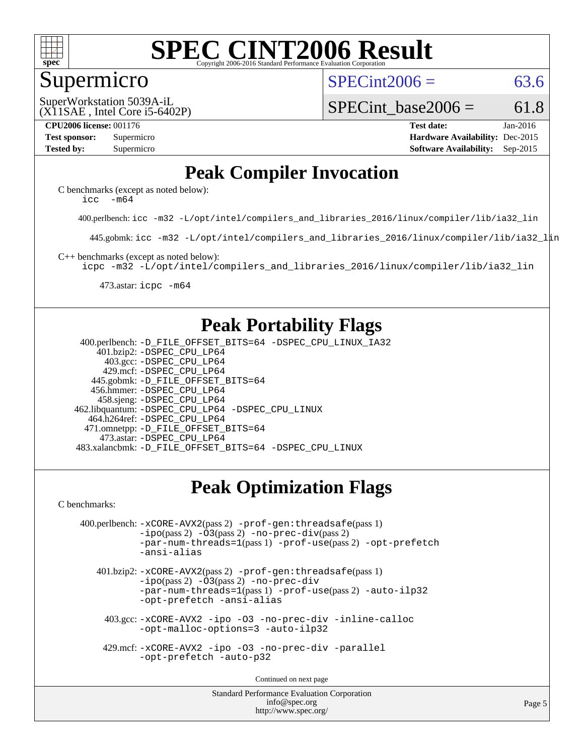

#### Supermicro

 $SPECint2006 = 63.6$  $SPECint2006 = 63.6$ 

(X11SAE , Intel Core i5-6402P) SuperWorkstation 5039A-iL

SPECint base2006 =  $61.8$ 

**[CPU2006 license:](http://www.spec.org/auto/cpu2006/Docs/result-fields.html#CPU2006license)** 001176 **[Test date:](http://www.spec.org/auto/cpu2006/Docs/result-fields.html#Testdate)** Jan-2016 **[Test sponsor:](http://www.spec.org/auto/cpu2006/Docs/result-fields.html#Testsponsor)** Supermicro **[Hardware Availability:](http://www.spec.org/auto/cpu2006/Docs/result-fields.html#HardwareAvailability)** Dec-2015 **[Tested by:](http://www.spec.org/auto/cpu2006/Docs/result-fields.html#Testedby)** Supermicro **Supermicro [Software Availability:](http://www.spec.org/auto/cpu2006/Docs/result-fields.html#SoftwareAvailability)** Sep-2015

#### **[Peak Compiler Invocation](http://www.spec.org/auto/cpu2006/Docs/result-fields.html#PeakCompilerInvocation)**

[C benchmarks \(except as noted below\)](http://www.spec.org/auto/cpu2006/Docs/result-fields.html#Cbenchmarksexceptasnotedbelow): icc  $-m64$ 

400.perlbench: [icc -m32 -L/opt/intel/compilers\\_and\\_libraries\\_2016/linux/compiler/lib/ia32\\_lin](http://www.spec.org/cpu2006/results/res2016q1/cpu2006-20160206-39012.flags.html#user_peakCCLD400_perlbench_intel_icc_e10256ba5924b668798078a321b0cb3f)

445.gobmk: [icc -m32 -L/opt/intel/compilers\\_and\\_libraries\\_2016/linux/compiler/lib/ia32\\_lin](http://www.spec.org/cpu2006/results/res2016q1/cpu2006-20160206-39012.flags.html#user_peakCCLD445_gobmk_intel_icc_e10256ba5924b668798078a321b0cb3f)

[C++ benchmarks \(except as noted below\):](http://www.spec.org/auto/cpu2006/Docs/result-fields.html#CXXbenchmarksexceptasnotedbelow)

[icpc -m32 -L/opt/intel/compilers\\_and\\_libraries\\_2016/linux/compiler/lib/ia32\\_lin](http://www.spec.org/cpu2006/results/res2016q1/cpu2006-20160206-39012.flags.html#user_CXXpeak_intel_icpc_b4f50a394bdb4597aa5879c16bc3f5c5)

473.astar: [icpc -m64](http://www.spec.org/cpu2006/results/res2016q1/cpu2006-20160206-39012.flags.html#user_peakCXXLD473_astar_intel_icpc_64bit_fc66a5337ce925472a5c54ad6a0de310)

### **[Peak Portability Flags](http://www.spec.org/auto/cpu2006/Docs/result-fields.html#PeakPortabilityFlags)**

 400.perlbench: [-D\\_FILE\\_OFFSET\\_BITS=64](http://www.spec.org/cpu2006/results/res2016q1/cpu2006-20160206-39012.flags.html#user_peakPORTABILITY400_perlbench_file_offset_bits_64_438cf9856305ebd76870a2c6dc2689ab) [-DSPEC\\_CPU\\_LINUX\\_IA32](http://www.spec.org/cpu2006/results/res2016q1/cpu2006-20160206-39012.flags.html#b400.perlbench_peakCPORTABILITY_DSPEC_CPU_LINUX_IA32) 401.bzip2: [-DSPEC\\_CPU\\_LP64](http://www.spec.org/cpu2006/results/res2016q1/cpu2006-20160206-39012.flags.html#suite_peakPORTABILITY401_bzip2_DSPEC_CPU_LP64) 403.gcc: [-DSPEC\\_CPU\\_LP64](http://www.spec.org/cpu2006/results/res2016q1/cpu2006-20160206-39012.flags.html#suite_peakPORTABILITY403_gcc_DSPEC_CPU_LP64) 429.mcf: [-DSPEC\\_CPU\\_LP64](http://www.spec.org/cpu2006/results/res2016q1/cpu2006-20160206-39012.flags.html#suite_peakPORTABILITY429_mcf_DSPEC_CPU_LP64) 445.gobmk: [-D\\_FILE\\_OFFSET\\_BITS=64](http://www.spec.org/cpu2006/results/res2016q1/cpu2006-20160206-39012.flags.html#user_peakPORTABILITY445_gobmk_file_offset_bits_64_438cf9856305ebd76870a2c6dc2689ab) 456.hmmer: [-DSPEC\\_CPU\\_LP64](http://www.spec.org/cpu2006/results/res2016q1/cpu2006-20160206-39012.flags.html#suite_peakPORTABILITY456_hmmer_DSPEC_CPU_LP64) 458.sjeng: [-DSPEC\\_CPU\\_LP64](http://www.spec.org/cpu2006/results/res2016q1/cpu2006-20160206-39012.flags.html#suite_peakPORTABILITY458_sjeng_DSPEC_CPU_LP64) 462.libquantum: [-DSPEC\\_CPU\\_LP64](http://www.spec.org/cpu2006/results/res2016q1/cpu2006-20160206-39012.flags.html#suite_peakPORTABILITY462_libquantum_DSPEC_CPU_LP64) [-DSPEC\\_CPU\\_LINUX](http://www.spec.org/cpu2006/results/res2016q1/cpu2006-20160206-39012.flags.html#b462.libquantum_peakCPORTABILITY_DSPEC_CPU_LINUX) 464.h264ref: [-DSPEC\\_CPU\\_LP64](http://www.spec.org/cpu2006/results/res2016q1/cpu2006-20160206-39012.flags.html#suite_peakPORTABILITY464_h264ref_DSPEC_CPU_LP64) 471.omnetpp: [-D\\_FILE\\_OFFSET\\_BITS=64](http://www.spec.org/cpu2006/results/res2016q1/cpu2006-20160206-39012.flags.html#user_peakPORTABILITY471_omnetpp_file_offset_bits_64_438cf9856305ebd76870a2c6dc2689ab) 473.astar: [-DSPEC\\_CPU\\_LP64](http://www.spec.org/cpu2006/results/res2016q1/cpu2006-20160206-39012.flags.html#suite_peakPORTABILITY473_astar_DSPEC_CPU_LP64) 483.xalancbmk: [-D\\_FILE\\_OFFSET\\_BITS=64](http://www.spec.org/cpu2006/results/res2016q1/cpu2006-20160206-39012.flags.html#user_peakPORTABILITY483_xalancbmk_file_offset_bits_64_438cf9856305ebd76870a2c6dc2689ab) [-DSPEC\\_CPU\\_LINUX](http://www.spec.org/cpu2006/results/res2016q1/cpu2006-20160206-39012.flags.html#b483.xalancbmk_peakCXXPORTABILITY_DSPEC_CPU_LINUX)

## **[Peak Optimization Flags](http://www.spec.org/auto/cpu2006/Docs/result-fields.html#PeakOptimizationFlags)**

[C benchmarks](http://www.spec.org/auto/cpu2006/Docs/result-fields.html#Cbenchmarks):

```
 400.perlbench: -xCORE-AVX2(pass 2) -prof-gen:threadsafe(pass 1)
   -i\text{po}(pass 2) -\overline{0}3(pass 2)-no-prec-div(pass 2)
   -par-num-threads=1(pass 1) -prof-use(pass 2) -opt-prefetch
   -ansi-alias
```
 401.bzip2: [-xCORE-AVX2](http://www.spec.org/cpu2006/results/res2016q1/cpu2006-20160206-39012.flags.html#user_peakPASS2_CFLAGSPASS2_LDCFLAGS401_bzip2_f-xAVX2_5f5fc0cbe2c9f62c816d3e45806c70d7)(pass 2) [-prof-gen:threadsafe](http://www.spec.org/cpu2006/results/res2016q1/cpu2006-20160206-39012.flags.html#user_peakPASS1_CFLAGSPASS1_LDCFLAGS401_bzip2_prof_gen_21a26eb79f378b550acd7bec9fe4467a)(pass 1)  $-i\text{po}(pass 2) -03(pass 2) -no-prec-div$  $-i\text{po}(pass 2) -03(pass 2) -no-prec-div$ [-par-num-threads=1](http://www.spec.org/cpu2006/results/res2016q1/cpu2006-20160206-39012.flags.html#user_peakPASS1_CFLAGSPASS1_LDCFLAGS401_bzip2_par_num_threads_786a6ff141b4e9e90432e998842df6c2)(pass 1) [-prof-use](http://www.spec.org/cpu2006/results/res2016q1/cpu2006-20160206-39012.flags.html#user_peakPASS2_CFLAGSPASS2_LDCFLAGS401_bzip2_prof_use_bccf7792157ff70d64e32fe3e1250b55)(pass 2) [-auto-ilp32](http://www.spec.org/cpu2006/results/res2016q1/cpu2006-20160206-39012.flags.html#user_peakCOPTIMIZE401_bzip2_f-auto-ilp32) [-opt-prefetch](http://www.spec.org/cpu2006/results/res2016q1/cpu2006-20160206-39012.flags.html#user_peakCOPTIMIZE401_bzip2_f-opt-prefetch) [-ansi-alias](http://www.spec.org/cpu2006/results/res2016q1/cpu2006-20160206-39012.flags.html#user_peakCOPTIMIZE401_bzip2_f-ansi-alias)

 403.gcc: [-xCORE-AVX2](http://www.spec.org/cpu2006/results/res2016q1/cpu2006-20160206-39012.flags.html#user_peakCOPTIMIZE403_gcc_f-xAVX2_5f5fc0cbe2c9f62c816d3e45806c70d7) [-ipo](http://www.spec.org/cpu2006/results/res2016q1/cpu2006-20160206-39012.flags.html#user_peakCOPTIMIZE403_gcc_f-ipo) [-O3](http://www.spec.org/cpu2006/results/res2016q1/cpu2006-20160206-39012.flags.html#user_peakCOPTIMIZE403_gcc_f-O3) [-no-prec-div](http://www.spec.org/cpu2006/results/res2016q1/cpu2006-20160206-39012.flags.html#user_peakCOPTIMIZE403_gcc_f-no-prec-div) [-inline-calloc](http://www.spec.org/cpu2006/results/res2016q1/cpu2006-20160206-39012.flags.html#user_peakCOPTIMIZE403_gcc_f-inline-calloc) [-opt-malloc-options=3](http://www.spec.org/cpu2006/results/res2016q1/cpu2006-20160206-39012.flags.html#user_peakCOPTIMIZE403_gcc_f-opt-malloc-options_13ab9b803cf986b4ee62f0a5998c2238) [-auto-ilp32](http://www.spec.org/cpu2006/results/res2016q1/cpu2006-20160206-39012.flags.html#user_peakCOPTIMIZE403_gcc_f-auto-ilp32)

 429.mcf: [-xCORE-AVX2](http://www.spec.org/cpu2006/results/res2016q1/cpu2006-20160206-39012.flags.html#user_peakCOPTIMIZE429_mcf_f-xAVX2_5f5fc0cbe2c9f62c816d3e45806c70d7) [-ipo](http://www.spec.org/cpu2006/results/res2016q1/cpu2006-20160206-39012.flags.html#user_peakCOPTIMIZE429_mcf_f-ipo) [-O3](http://www.spec.org/cpu2006/results/res2016q1/cpu2006-20160206-39012.flags.html#user_peakCOPTIMIZE429_mcf_f-O3) [-no-prec-div](http://www.spec.org/cpu2006/results/res2016q1/cpu2006-20160206-39012.flags.html#user_peakCOPTIMIZE429_mcf_f-no-prec-div) [-parallel](http://www.spec.org/cpu2006/results/res2016q1/cpu2006-20160206-39012.flags.html#user_peakCOPTIMIZE429_mcf_f-parallel) [-opt-prefetch](http://www.spec.org/cpu2006/results/res2016q1/cpu2006-20160206-39012.flags.html#user_peakCOPTIMIZE429_mcf_f-opt-prefetch) [-auto-p32](http://www.spec.org/cpu2006/results/res2016q1/cpu2006-20160206-39012.flags.html#user_peakCOPTIMIZE429_mcf_f-auto-p32)

Continued on next page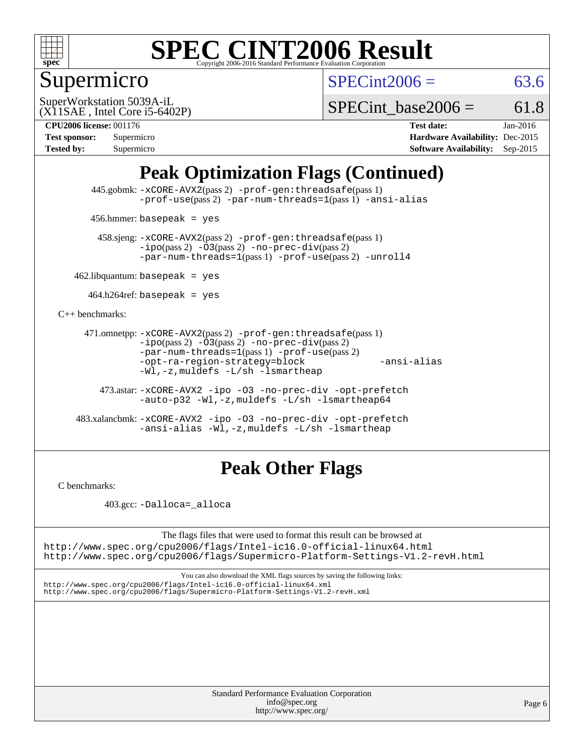

## Supermicro

 $SPECint2006 = 63.6$  $SPECint2006 = 63.6$ 

(X11SAE , Intel Core i5-6402P) SuperWorkstation 5039A-iL

SPECint base2006 =  $61.8$ 

**[CPU2006 license:](http://www.spec.org/auto/cpu2006/Docs/result-fields.html#CPU2006license)** 001176 **[Test date:](http://www.spec.org/auto/cpu2006/Docs/result-fields.html#Testdate)** Jan-2016 **[Test sponsor:](http://www.spec.org/auto/cpu2006/Docs/result-fields.html#Testsponsor)** Supermicro **[Hardware Availability:](http://www.spec.org/auto/cpu2006/Docs/result-fields.html#HardwareAvailability)** Dec-2015 **[Tested by:](http://www.spec.org/auto/cpu2006/Docs/result-fields.html#Testedby)** Supermicro **Supermicro [Software Availability:](http://www.spec.org/auto/cpu2006/Docs/result-fields.html#SoftwareAvailability)** Sep-2015

## **[Peak Optimization Flags \(Continued\)](http://www.spec.org/auto/cpu2006/Docs/result-fields.html#PeakOptimizationFlags)**

 445.gobmk: [-xCORE-AVX2](http://www.spec.org/cpu2006/results/res2016q1/cpu2006-20160206-39012.flags.html#user_peakPASS2_CFLAGSPASS2_LDCFLAGS445_gobmk_f-xAVX2_5f5fc0cbe2c9f62c816d3e45806c70d7)(pass 2) [-prof-gen:threadsafe](http://www.spec.org/cpu2006/results/res2016q1/cpu2006-20160206-39012.flags.html#user_peakPASS1_CFLAGSPASS1_LDCFLAGS445_gobmk_prof_gen_21a26eb79f378b550acd7bec9fe4467a)(pass 1) [-prof-use](http://www.spec.org/cpu2006/results/res2016q1/cpu2006-20160206-39012.flags.html#user_peakPASS2_CFLAGSPASS2_LDCFLAGS445_gobmk_prof_use_bccf7792157ff70d64e32fe3e1250b55)(pass 2) [-par-num-threads=1](http://www.spec.org/cpu2006/results/res2016q1/cpu2006-20160206-39012.flags.html#user_peakPASS1_CFLAGSPASS1_LDCFLAGS445_gobmk_par_num_threads_786a6ff141b4e9e90432e998842df6c2)(pass 1) [-ansi-alias](http://www.spec.org/cpu2006/results/res2016q1/cpu2006-20160206-39012.flags.html#user_peakCOPTIMIZE445_gobmk_f-ansi-alias)

456.hmmer: basepeak = yes

 458.sjeng: [-xCORE-AVX2](http://www.spec.org/cpu2006/results/res2016q1/cpu2006-20160206-39012.flags.html#user_peakPASS2_CFLAGSPASS2_LDCFLAGS458_sjeng_f-xAVX2_5f5fc0cbe2c9f62c816d3e45806c70d7)(pass 2) [-prof-gen:threadsafe](http://www.spec.org/cpu2006/results/res2016q1/cpu2006-20160206-39012.flags.html#user_peakPASS1_CFLAGSPASS1_LDCFLAGS458_sjeng_prof_gen_21a26eb79f378b550acd7bec9fe4467a)(pass 1)  $-ipo(pass 2) -\overline{03(pass 2)}$  $-ipo(pass 2) -\overline{03(pass 2)}$  [-no-prec-div](http://www.spec.org/cpu2006/results/res2016q1/cpu2006-20160206-39012.flags.html#user_peakPASS2_CFLAGSPASS2_LDCFLAGS458_sjeng_f-no-prec-div)(pass 2) [-par-num-threads=1](http://www.spec.org/cpu2006/results/res2016q1/cpu2006-20160206-39012.flags.html#user_peakPASS1_CFLAGSPASS1_LDCFLAGS458_sjeng_par_num_threads_786a6ff141b4e9e90432e998842df6c2)(pass 1) [-prof-use](http://www.spec.org/cpu2006/results/res2016q1/cpu2006-20160206-39012.flags.html#user_peakPASS2_CFLAGSPASS2_LDCFLAGS458_sjeng_prof_use_bccf7792157ff70d64e32fe3e1250b55)(pass 2) [-unroll4](http://www.spec.org/cpu2006/results/res2016q1/cpu2006-20160206-39012.flags.html#user_peakCOPTIMIZE458_sjeng_f-unroll_4e5e4ed65b7fd20bdcd365bec371b81f)

 $462$ .libquantum: basepeak = yes

 $464.h264$ ref: basepeak = yes

[C++ benchmarks:](http://www.spec.org/auto/cpu2006/Docs/result-fields.html#CXXbenchmarks)

```
 471.omnetpp: -xCORE-AVX2(pass 2) -prof-gen:threadsafe(pass 1)
-i\text{po}(pass 2) -03(pass 2) -no-prec-div(pass 2)-par-num-threads=1(pass 1) -prof-use(pass 2)
-opt-ra-region-strategy=block -ansi-alias
-Wl,-z,muldefs -L/sh -lsmartheap
```
 473.astar: [-xCORE-AVX2](http://www.spec.org/cpu2006/results/res2016q1/cpu2006-20160206-39012.flags.html#user_peakCXXOPTIMIZE473_astar_f-xAVX2_5f5fc0cbe2c9f62c816d3e45806c70d7) [-ipo](http://www.spec.org/cpu2006/results/res2016q1/cpu2006-20160206-39012.flags.html#user_peakCXXOPTIMIZE473_astar_f-ipo) [-O3](http://www.spec.org/cpu2006/results/res2016q1/cpu2006-20160206-39012.flags.html#user_peakCXXOPTIMIZE473_astar_f-O3) [-no-prec-div](http://www.spec.org/cpu2006/results/res2016q1/cpu2006-20160206-39012.flags.html#user_peakCXXOPTIMIZE473_astar_f-no-prec-div) [-opt-prefetch](http://www.spec.org/cpu2006/results/res2016q1/cpu2006-20160206-39012.flags.html#user_peakCXXOPTIMIZE473_astar_f-opt-prefetch) [-auto-p32](http://www.spec.org/cpu2006/results/res2016q1/cpu2006-20160206-39012.flags.html#user_peakCXXOPTIMIZE473_astar_f-auto-p32) [-Wl,-z,muldefs](http://www.spec.org/cpu2006/results/res2016q1/cpu2006-20160206-39012.flags.html#user_peakEXTRA_LDFLAGS473_astar_link_force_multiple1_74079c344b956b9658436fd1b6dd3a8a) [-L/sh -lsmartheap64](http://www.spec.org/cpu2006/results/res2016q1/cpu2006-20160206-39012.flags.html#user_peakEXTRA_LIBS473_astar_SmartHeap64_ed4ef857ce90951921efb0d91eb88472)

 483.xalancbmk: [-xCORE-AVX2](http://www.spec.org/cpu2006/results/res2016q1/cpu2006-20160206-39012.flags.html#user_peakCXXOPTIMIZE483_xalancbmk_f-xAVX2_5f5fc0cbe2c9f62c816d3e45806c70d7) [-ipo](http://www.spec.org/cpu2006/results/res2016q1/cpu2006-20160206-39012.flags.html#user_peakCXXOPTIMIZE483_xalancbmk_f-ipo) [-O3](http://www.spec.org/cpu2006/results/res2016q1/cpu2006-20160206-39012.flags.html#user_peakCXXOPTIMIZE483_xalancbmk_f-O3) [-no-prec-div](http://www.spec.org/cpu2006/results/res2016q1/cpu2006-20160206-39012.flags.html#user_peakCXXOPTIMIZE483_xalancbmk_f-no-prec-div) [-opt-prefetch](http://www.spec.org/cpu2006/results/res2016q1/cpu2006-20160206-39012.flags.html#user_peakCXXOPTIMIZE483_xalancbmk_f-opt-prefetch) [-ansi-alias](http://www.spec.org/cpu2006/results/res2016q1/cpu2006-20160206-39012.flags.html#user_peakCXXOPTIMIZE483_xalancbmk_f-ansi-alias) [-Wl,-z,muldefs](http://www.spec.org/cpu2006/results/res2016q1/cpu2006-20160206-39012.flags.html#user_peakEXTRA_LDFLAGS483_xalancbmk_link_force_multiple1_74079c344b956b9658436fd1b6dd3a8a) [-L/sh -lsmartheap](http://www.spec.org/cpu2006/results/res2016q1/cpu2006-20160206-39012.flags.html#user_peakEXTRA_LIBS483_xalancbmk_SmartHeap_32f6c82aa1ed9c52345d30cf6e4a0499)

## **[Peak Other Flags](http://www.spec.org/auto/cpu2006/Docs/result-fields.html#PeakOtherFlags)**

[C benchmarks](http://www.spec.org/auto/cpu2006/Docs/result-fields.html#Cbenchmarks):

403.gcc: [-Dalloca=\\_alloca](http://www.spec.org/cpu2006/results/res2016q1/cpu2006-20160206-39012.flags.html#b403.gcc_peakEXTRA_CFLAGS_Dalloca_be3056838c12de2578596ca5467af7f3)

The flags files that were used to format this result can be browsed at <http://www.spec.org/cpu2006/flags/Intel-ic16.0-official-linux64.html>

<http://www.spec.org/cpu2006/flags/Supermicro-Platform-Settings-V1.2-revH.html>

You can also download the XML flags sources by saving the following links: <http://www.spec.org/cpu2006/flags/Intel-ic16.0-official-linux64.xml> <http://www.spec.org/cpu2006/flags/Supermicro-Platform-Settings-V1.2-revH.xml>